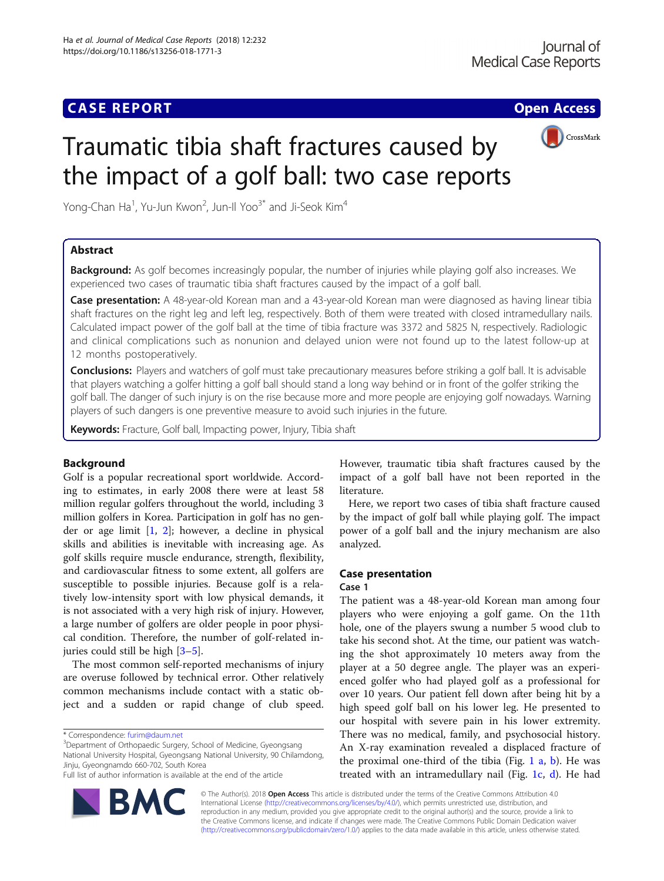## **CASE REPORT CASE REPORT CASE REPORT**



# Traumatic tibia shaft fractures caused by the impact of a golf ball: two case reports

Yong-Chan Ha $^1$ , Yu-Jun Kwon $^2$ , Jun-Il Yoo $^{3^\ast}$  and Ji-Seok Kim $^4$ 

## Abstract

Background: As golf becomes increasingly popular, the number of injuries while playing golf also increases. We experienced two cases of traumatic tibia shaft fractures caused by the impact of a golf ball.

Case presentation: A 48-year-old Korean man and a 43-year-old Korean man were diagnosed as having linear tibia shaft fractures on the right leg and left leg, respectively. Both of them were treated with closed intramedullary nails. Calculated impact power of the golf ball at the time of tibia fracture was 3372 and 5825 N, respectively. Radiologic and clinical complications such as nonunion and delayed union were not found up to the latest follow-up at 12 months postoperatively.

Conclusions: Players and watchers of golf must take precautionary measures before striking a golf ball. It is advisable that players watching a golfer hitting a golf ball should stand a long way behind or in front of the golfer striking the golf ball. The danger of such injury is on the rise because more and more people are enjoying golf nowadays. Warning players of such dangers is one preventive measure to avoid such injuries in the future.

Keywords: Fracture, Golf ball, Impacting power, Injury, Tibia shaft

## Background

Golf is a popular recreational sport worldwide. According to estimates, in early 2008 there were at least 58 million regular golfers throughout the world, including 3 million golfers in Korea. Participation in golf has no gender or age limit  $[1, 2]$  $[1, 2]$  $[1, 2]$ ; however, a decline in physical skills and abilities is inevitable with increasing age. As golf skills require muscle endurance, strength, flexibility, and cardiovascular fitness to some extent, all golfers are susceptible to possible injuries. Because golf is a relatively low-intensity sport with low physical demands, it is not associated with a very high risk of injury. However, a large number of golfers are older people in poor physical condition. Therefore, the number of golf-related injuries could still be high [\[3](#page-3-0)–[5](#page-3-0)].

The most common self-reported mechanisms of injury are overuse followed by technical error. Other relatively common mechanisms include contact with a static object and a sudden or rapid change of club speed.

<sup>3</sup>Department of Orthopaedic Surgery, School of Medicine, Gyeongsang National University Hospital, Gyeongsang National University, 90 Chilamdong, Jinju, Gyeongnamdo 660-702, South Korea

Full list of author information is available at the end of the article

However, traumatic tibia shaft fractures caused by the impact of a golf ball have not been reported in the literature.

Here, we report two cases of tibia shaft fracture caused by the impact of golf ball while playing golf. The impact power of a golf ball and the injury mechanism are also analyzed.

## Case presentation

## Case 1

The patient was a 48-year-old Korean man among four players who were enjoying a golf game. On the 11th hole, one of the players swung a number 5 wood club to take his second shot. At the time, our patient was watching the shot approximately 10 meters away from the player at a 50 degree angle. The player was an experienced golfer who had played golf as a professional for over 10 years. Our patient fell down after being hit by a high speed golf ball on his lower leg. He presented to our hospital with severe pain in his lower extremity. There was no medical, family, and psychosocial history. An X-ray examination revealed a displaced fracture of the proximal one-third of the tibia (Fig.  $1$  a, [b\)](#page-1-0). He was treate[d](#page-1-0) with an intramedullary nail (Fig.  $1c$ , d). He had

© The Author(s). 2018 Open Access This article is distributed under the terms of the Creative Commons Attribution 4.0 International License [\(http://creativecommons.org/licenses/by/4.0/](http://creativecommons.org/licenses/by/4.0/)), which permits unrestricted use, distribution, and reproduction in any medium, provided you give appropriate credit to the original author(s) and the source, provide a link to the Creative Commons license, and indicate if changes were made. The Creative Commons Public Domain Dedication waiver [\(http://creativecommons.org/publicdomain/zero/1.0/](http://creativecommons.org/publicdomain/zero/1.0/)) applies to the data made available in this article, unless otherwise stated.

<sup>\*</sup> Correspondence: [furim@daum.net](mailto:furim@daum.net) <sup>3</sup>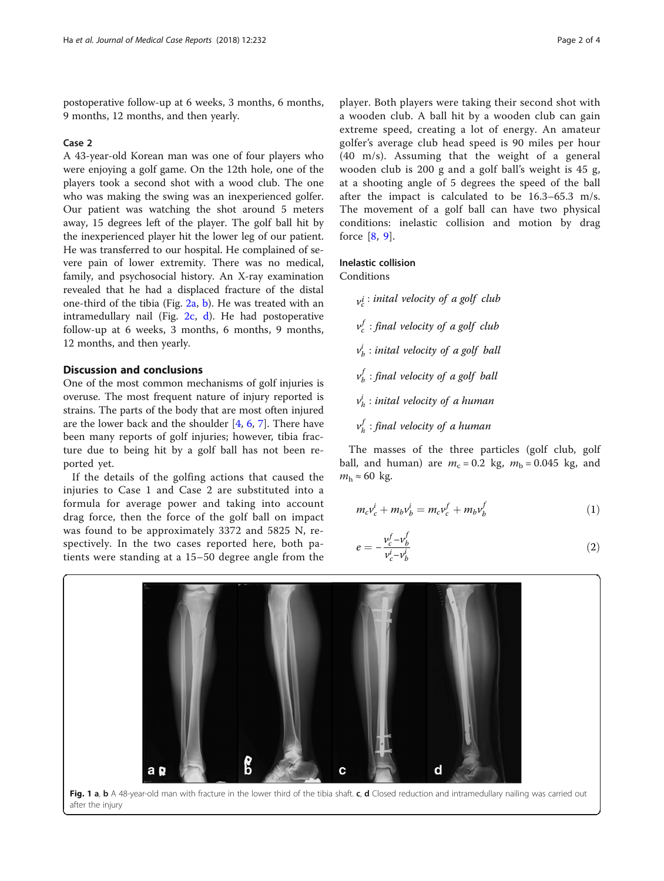<span id="page-1-0"></span>postoperative follow-up at 6 weeks, 3 months, 6 months, 9 months, 12 months, and then yearly.

## Case 2

A 43-year-old Korean man was one of four players who were enjoying a golf game. On the 12th hole, one of the players took a second shot with a wood club. The one who was making the swing was an inexperienced golfer. Our patient was watching the shot around 5 meters away, 15 degrees left of the player. The golf ball hit by the inexperienced player hit the lower leg of our patient. He was transferred to our hospital. He complained of severe pain of lower extremity. There was no medical, family, and psychosocial history. An X-ray examination revealed that he had a displaced fracture of the distal one-third of the tibia (Fig. [2a](#page-2-0), [b\)](#page-2-0). He was treated with an intrame[d](#page-2-0)ullary nail (Fig.  $2c$ , d). He had postoperative follow-up at 6 weeks, 3 months, 6 months, 9 months, 12 months, and then yearly.

## Discussion and conclusions

One of the most common mechanisms of golf injuries is overuse. The most frequent nature of injury reported is strains. The parts of the body that are most often injured are the lower back and the shoulder [\[4](#page-3-0), [6](#page-3-0), [7](#page-3-0)]. There have been many reports of golf injuries; however, tibia fracture due to being hit by a golf ball has not been reported yet.

If the details of the golfing actions that caused the injuries to Case 1 and Case 2 are substituted into a formula for average power and taking into account drag force, then the force of the golf ball on impact was found to be approximately 3372 and 5825 N, respectively. In the two cases reported here, both patients were standing at a 15–50 degree angle from the

player. Both players were taking their second shot with a wooden club. A ball hit by a wooden club can gain extreme speed, creating a lot of energy. An amateur golfer's average club head speed is 90 miles per hour (40 m/s). Assuming that the weight of a general wooden club is 200 g and a golf ball's weight is 45 g, at a shooting angle of 5 degrees the speed of the ball after the impact is calculated to be 16.3–65.3 m/s. The movement of a golf ball can have two physical conditions: inelastic collision and motion by drag force [[8,](#page-3-0) [9\]](#page-3-0).

### Inelastic collision

Conditions

 $v_c^i$ : inital velocity of a golf club  $v_c^f$  : final velocity of a golf club  $v_b^i$ : inital velocity of a golf ball  $v_b^f$  : final velocity of a golf ball  $v_h^i$ : inital velocity of a human  $v_h^f$  : final velocity of a human

The masses of the three particles (golf club, golf ball, and human) are  $m_c = 0.2$  kg,  $m_b = 0.045$  kg, and  $m_h \approx 60$  kg.

$$
m_c v_c^i + m_b v_b^i = m_c v_c^f + m_b v_b^f \tag{1}
$$

$$
e = -\frac{v_c^f - v_b^f}{v_c^i - v_b^i}
$$
 (2)

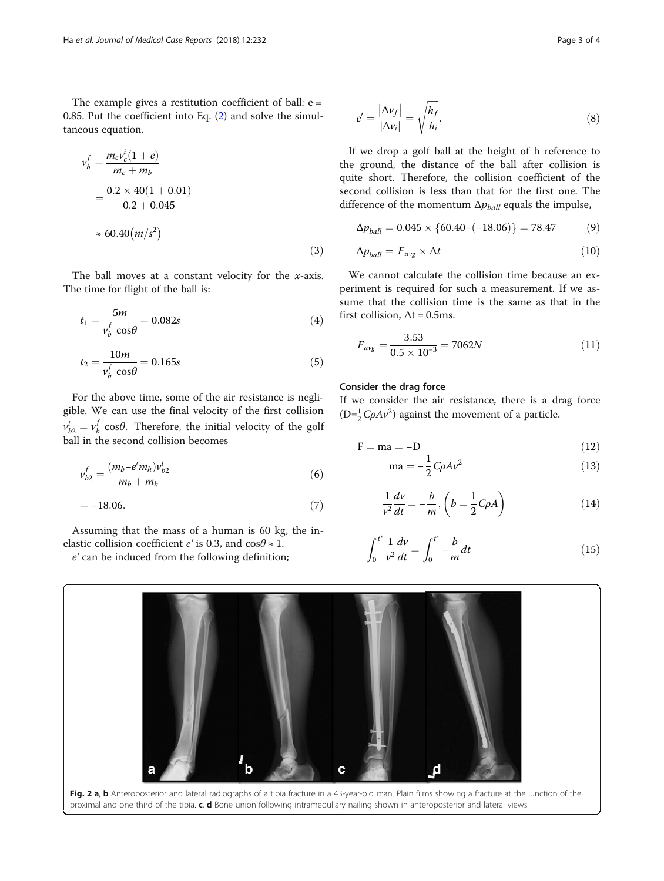<span id="page-2-0"></span>The example gives a restitution coefficient of ball:  $e =$ 0.85. Put the coefficient into Eq. ([2\)](#page-1-0) and solve the simultaneous equation.

$$
v_b^f = \frac{m_c v_c^i (1+e)}{m_c + m_b}
$$
  
= 
$$
\frac{0.2 \times 40(1+0.01)}{0.2 + 0.045}
$$
  

$$
\approx 60.40 (m/s^2)
$$
 (3)

The ball moves at a constant velocity for the *x*-axis. The time for flight of the ball is:

$$
t_1 = \frac{5m}{v_b^f \cos \theta} = 0.082s
$$
 (4)

$$
t_2 = \frac{10m}{v_b^f \cos\theta} = 0.165s
$$
 (5)

For the above time, some of the air resistance is negligible. We can use the final velocity of the first collision  $v_{b2}^i = v_b^f \cos\theta$ . Therefore, the initial velocity of the golf<br>ball in the second collision becomes ball in the second collision becomes

$$
v_{b2}^f = \frac{(m_b - e^t m_h)v_{b2}^i}{m_b + m_h} \tag{6}
$$

 $= -18.06.$  (7)

Assuming that the mass of a human is 60 kg, the inelastic collision coefficient e' is 0.3, and  $\cos\theta \approx 1$ .

e' can be induced from the following definition;

$$
e' = \frac{|\Delta v_f|}{|\Delta v_i|} = \sqrt{\frac{h_f}{h_i}}.\tag{8}
$$

If we drop a golf ball at the height of h reference to the ground, the distance of the ball after collision is quite short. Therefore, the collision coefficient of the second collision is less than that for the first one. The difference of the momentum  $\Delta p_{ball}$  equals the impulse,

$$
\Delta p_{ball} = 0.045 \times \{60.40 - (-18.06)\} = 78.47
$$
 (9)

$$
\Delta p_{ball} = F_{avg} \times \Delta t \tag{10}
$$

We cannot calculate the collision time because an experiment is required for such a measurement. If we assume that the collision time is the same as that in the first collision,  $\Delta t = 0.5$ ms.

$$
F_{avg} = \frac{3.53}{0.5 \times 10^{-3}} = 7062N
$$
 (11)

## Consider the drag force

If we consider the air resistance, there is a drag force  $(D=\frac{1}{2}C\rho A v^2)$  against the movement of a particle.

$$
F = ma = -D \tag{12}
$$

$$
ma = -\frac{1}{2}C\rho Av^2\tag{13}
$$

$$
\frac{1}{v^2}\frac{dv}{dt} = -\frac{b}{m}, \left(b = \frac{1}{2}C\rho A\right)
$$
\n(14)

$$
\int_0^{t^*} \frac{1}{v^2} \frac{dv}{dt} = \int_0^{t^*} -\frac{b}{m} dt
$$
 (15)